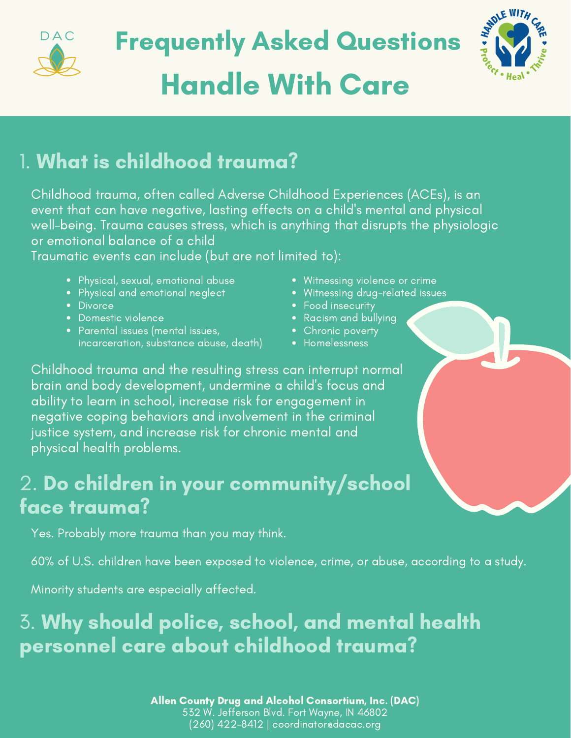

# Handle With Care Frequently Asked Questions



# 1. What is childhood trauma?

Childhood trauma, often called Adverse Childhood Experiences (ACEs), is an event that can have negative, lasting effects on a child's mental and physical well-being. Trauma causes stress, which is anything that disrupts the physiologic or emotional balance of a child

Traumatic events can include (but are not limited to):

- Physical, sexual, emotional abuse
- Physical and emotional neglect
- Divorce
- Domestic violence
- Parental issues (mental issues, incarceration, substance abuse, death)
- Witnessing violence or crime
- Witnessing drug-related issues
- Food insecurity
- Racism and bullying
- Chronic poverty
- Homelessness

Childhood trauma and the resulting stress can interrupt normal brain and body development, undermine a child's focus and ability to learn in school, increase risk for engagement in negative coping behaviors and involvement in the criminal justice system, and increase risk for chronic mental and physical health problems.

# 2. Do children in your community/school face trauma?

Yes. Probably more trauma than you may think.

60% of U.S. children have been exposed to violence, crime, or abuse, according to a study.

Minority students are especially affected.

# 3. Why should police, school, and mental health personnel care about childhood trauma?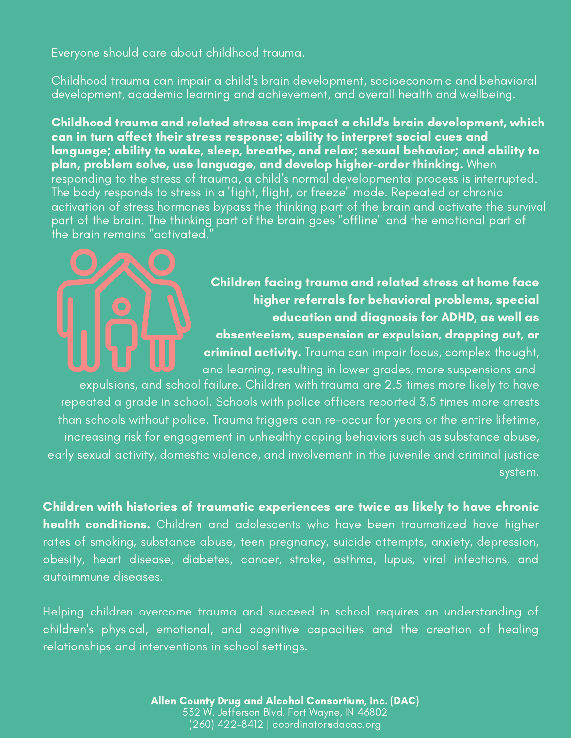Everyone should care about childhood trauma.

Childhood trauma can impair a child's brain development, socioeconomic and behavioral development, academic learning and achievement, and overall health and wellbeing.

Childhood trauma and related stress can impact a child's brain development, which can in turn affect their stress response; ability to interpret social cues and language; ability to wake, sleep, breathe, and relax; sexual behavior; and ability to plan, problem solve, use language, and develop higher-order thinking. When responding to the stress of trauma, a child's normal developmental process is interrupted. The body responds to stress in a 'fight, flight, or freeze" mode. Repeated or chronic activation of stress hormones bypass the thinking part of the brain and activate the survival part of the brain. The thinking part of the brain goes "offline" and the emotional part of the brain remains "activated.

#### Children facing trauma and related stress at home face higher referrals for behavioral problems, special education and diagnosis for ADHD, as well as absenteeism, suspension or expulsion, dropping out, or

criminal activity. Trauma can impair focus, complex thought, and learning, resulting in lower grades, more suspensions and

expulsions, and school failure. Children with trauma are 2.5 times more likely to have repeated a grade in school. Schools with police officers reported 3.5 times more arrests than schools without police. Trauma triggers can re-occur for years or the entire lifetime, increasing risk for engagement in unhealthy coping behaviors such as substance abuse, early sexual activity, domestic violence, and involvement in the juvenile and criminal justice system.

Children with histories of traumatic experiences are twice as likely to have chronic health conditions. Children and adolescents who have been traumatized have higher rates of smoking, substance abuse, teen pregnancy, suicide attempts, anxiety, depression, obesity, heart disease, diabetes, cancer, stroke, asthma, lupus, viral infections, and autoimmune diseases.

Helping children overcome trauma and succeed in school requires an understanding of children's physical, emotional, and cognitive capacities and the creation of healing relationships and interventions in school settings.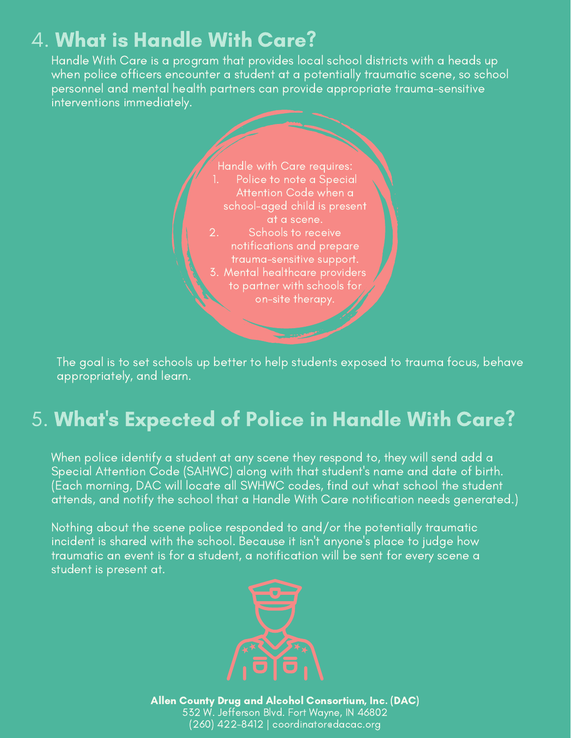# 4. What is Handle With Care?

Handle With Care is a program that provides local school districts with a heads up when police officers encounter a student at a potentially traumatic scene, so school personnel and mental health partners can provide appropriate trauma-sensitive interventions immediately.



The goal is to set schools up better to help students exposed to trauma focus, behave appropriately, and learn.

# 5. What' s Expected of Police in Handle With Care?

When police identify a student at any scene they respond to, they will send add a Special Attention Code (SAHWC) along with that student's name and date of birth. (Each morning, DAC will locate all SWHWC codes, find out what school the student attends, and notify the school that a Handle With Care notification needs generated.)

Nothing about the scene police responded to and/or the potentially traumatic incident is shared with the school. Because it isn't anyone's place to judge how traumatic an event is for a student, a notification will be sent for every scene a student is present at.

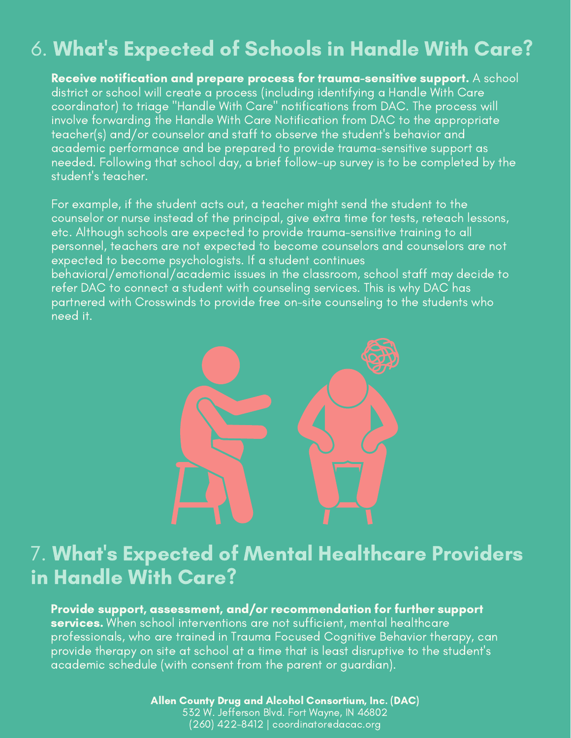# 6. What' s Expected of Schools in Handle With Care?

Receive notification and prepare process for trauma-sensitive support. A school district or school will create a process (including identifying a Handle With Care coordinator) to triage "Handle With Care" notifications from DAC. The process will involve forwarding the Handle With Care Notification from DAC to the appropriate teacher(s) and/or counselor and staff to observe the student's behavior and academic performance and be prepared to provide trauma-sensitive support as needed. Following that school day, a brief follow-up survey is to be completed by the student's teacher.

For example, if the student acts out, a teacher might send the student to the counselor or nurse instead of the principal, give extra time for tests, reteach lessons, etc. Although schools are expected to provide trauma-sensitive training to all personnel, teachers are not expected to become counselors and counselors are not expected to become psychologists. If a student continues behavioral/emotional/academic issues in the classroom, school staff may decide to refer DAC to connect a student with counseling services. This is why DAC has partnered with Crosswinds to provide free on-site counseling to the students who

need it.



# 7. What' s Expected of Mental Healthcare Providers in Handle With Care?

Provide support, assessment, and/or recommendation for further support **services.** When school interventions are not sufficient, mental healthcare professionals, who are trained in Trauma Focused Cognitive Behavior therapy, can provide therapy on site at school at a time that is least disruptive to the student's academic schedule (with consent from the parent or guardian).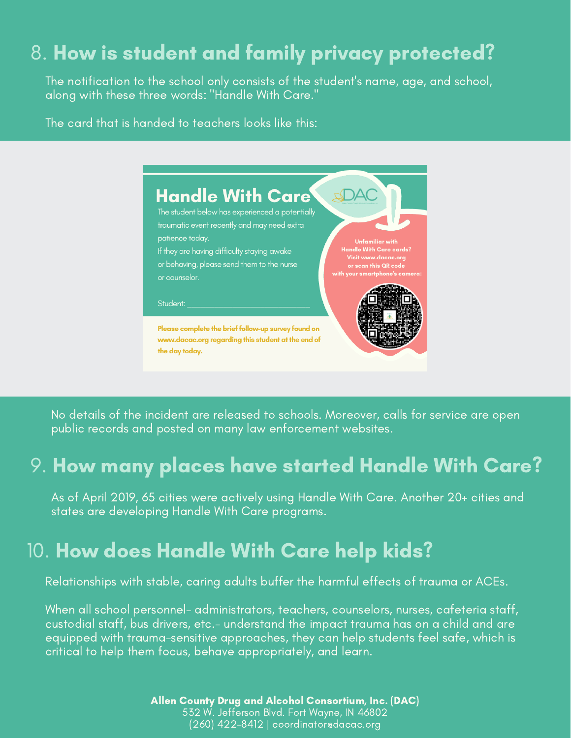# 8. How is student and family privacy protected?

The notification to the school only consists of the student's name, age, and school, along with these three words: "Handle With Care."

The card that is handed to teachers looks like this:



No details of the incident are released to schools. Moreover, calls for service are open public records and posted on many law enforcement websites.

### 9. How many places have started Handle With Care?

As of April 2019, 65 cities were actively using Handle With Care. Another 20+ cities and states are developing Handle With Care programs.

### 10. How does Handle With Care help kids?

Relationships with stable, caring adults buffer the harmful effects of trauma or ACEs.

When all school personnel- administrators, teachers, counselors, nurses, cafeteria staff, custodial staff, bus drivers, etc.- understand the impact trauma has on a child and are equipped with trauma-sensitive approaches, they can help students feel safe, which is critical to help them focus, behave appropriately, and learn.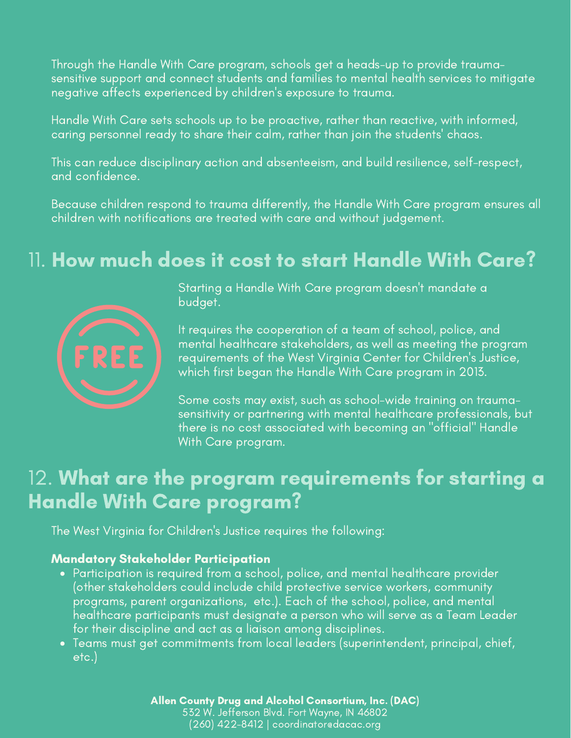Through the Handle With Care program, schools get a heads-up to provide traumasensitive support and connect students and families to mental health services to mitigate negative affects experienced by children's exposure to trauma.

Handle With Care sets schools up to be proactive, rather than reactive, with informed, caring personnel ready to share their calm, rather than join the students' chaos.

This can reduce disciplinary action and absenteeism, and build resilience, self-respect, and confidence.

Because children respond to trauma differently, the Handle With Care program ensures all children with notifications are treated with care and without judgement.

### 11. How much does it cost to start Handle With Care?



Starting a Handle With Care program doesn't mandate a budget.

It requires the cooperation of a team of school, police, and mental healthcare stakeholders, as well as meeting the program requirements of the West Virginia Center for Children's Justice, which first began the Handle With Care program in 2013.

Some costs may exist, such as school-wide training on traumasensitivity or partnering with mental healthcare professionals, but there is no cost associated with becoming an "official" Handle With Care program.

### 12. What are the program requirements for starting a Handle With Care program?

The West Virginia for Children's Justice requires the following:

#### Mandatory Stakeholder Participation

- Participation is required from a school, police, and mental healthcare provider (other stakeholders could include child protective service workers, community programs, parent organizations, etc.). Each of the school, police, and mental healthcare participants must designate a person who will serve as a Team Leader for their discipline and act as a liaison among disciplines.
- Teams must get commitments from local leaders (superintendent, principal, chief, etc.)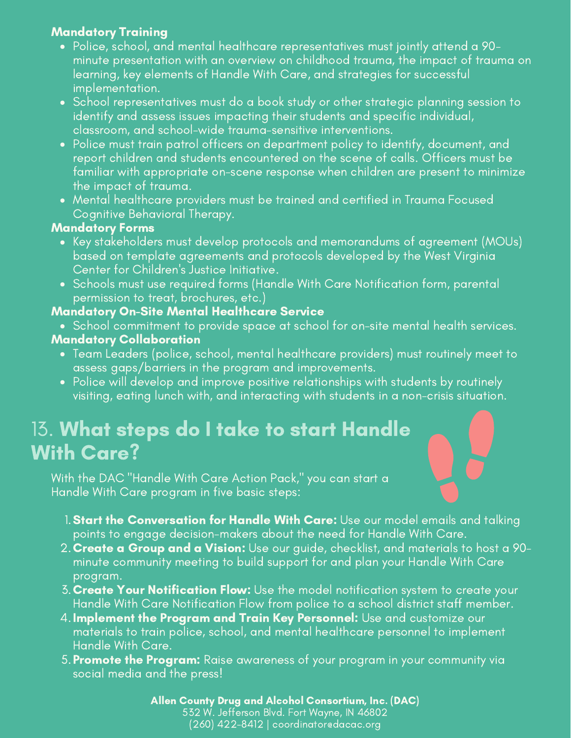#### Mandatory Training

- Police, school, and mental healthcare representatives must jointly attend a 90 minute presentation with an overview on childhood trauma, the impact of trauma on learning, key elements of Handle With Care, and strategies for successful implementation.
- School representatives must do a book study or other strategic planning session to identify and assess issues impacting their students and specific individual, classroom, and school-wide trauma-sensitive interventions.
- Police must train patrol officers on department policy to identify, document, and report children and students encountered on the scene of calls. Officers must be familiar with appropriate on-scene response when children are present to minimize the impact of trauma.
- Mental healthcare providers must be trained and certified in Trauma Focused Cognitive Behavioral Therapy.

#### Mandatory Forms

- Key stakeholders must develop protocols and memorandums of agreement (MOUs) based on template agreements and protocols developed by the West Virginia Center for Children's Justice Initiative.
- Schools must use required forms (Handle With Care Notification form, parental permission to treat, brochures, etc.)

#### Mandatory On-Site Mental Healthcare Service

- School commitment to provide space at school for on-site mental health services.
- Mandatory Collaboration
	- Team Leaders (police, school, mental healthcare providers) must routinely meet to assess gaps/barriers in the program and improvements.
	- Police will develop and improve positive relationships with students by routinely visiting, eating lunch with, and interacting with students in a non-crisis situation.

# 13. What steps do I take to start Handle With Care?

With the DAC "Handle With Care Action Pack," you can start a Handle With Care program in five basic steps:

- 1. **Start the Conversation for Handle With Care:** Use our model emails and talking points to engage decision-makers about the need for Handle With Care.
- 2. **Create a Group and a Vision:** Use our guide, checklist, and materials to host a 90minute community meeting to build support for and plan your Handle With Care program.
- 3. **Create Your Notification Flow:** Use the model notification system to create your Handle With Care Notification Flow from police to a school district staff member.
- 4. **Implement the Program and Train Key Personnel:** Use and customize our materials to train police, school, and mental healthcare personnel to implement Handle With Care.
- 5. **Promote the Program:** Raise awareness of your program in your community via social media and the press!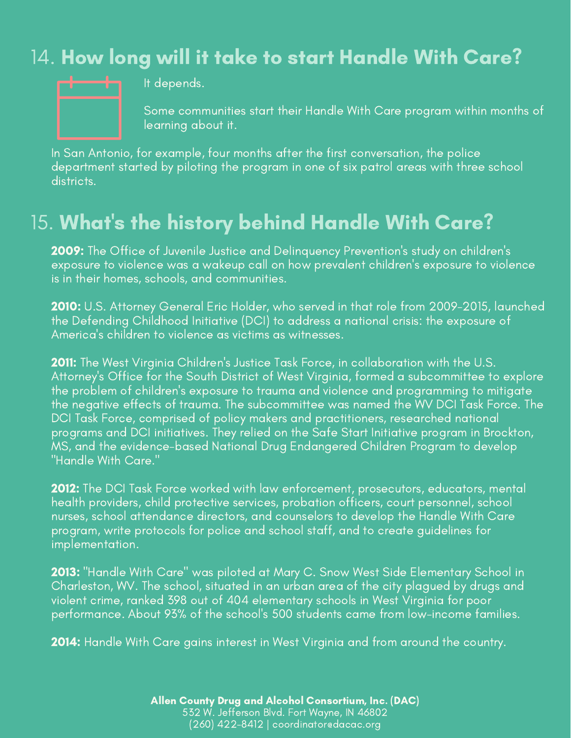# 14. How long will it take to start Handle With Care?



It depends.

Some communities start their Handle With Care program within months of learning about it.

In San Antonio, for example, four months after the first conversation, the police department started by piloting the program in one of six patrol areas with three school districts.

# 15. What' s the history behind Handle With Care?

2009: The Office of Juvenile Justice and Delinquency Prevention's study on children's exposure to violence was a wakeup call on how prevalent children's exposure to violence is in their homes, schools, and communities.

2010: U.S. Attorney General Eric Holder, who served in that role from 2009-2015, launched the Defending Childhood Initiative (DCI) to address a national crisis: the exposure of America's children to violence as victims as witnesses.

2011: The West Virginia Children's Justice Task Force, in collaboration with the U.S. Attorney's Office for the South District of West Virginia, formed a subcommittee to explore the problem of children's exposure to trauma and violence and programming to mitigate the negative effects of trauma. The subcommittee was named the WV DCI Task Force. The DCI Task Force, comprised of policy makers and practitioners, researched national programs and DCI initiatives. They relied on the Safe Start Initiative program in Brockton, MS, and the evidence-based National Drug Endangered Children Program to develop "Handle With Care."

2012: The DCI Task Force worked with law enforcement, prosecutors, educators, mental health providers, child protective services, probation officers, court personnel, school nurses, school attendance directors, and counselors to develop the Handle With Care program, write protocols for police and school staff, and to create guidelines for implementation.

2013: "Handle With Care" was piloted at Mary C. Snow West Side Elementary School in Charleston, WV. The school, situated in an urban area of the city plagued by drugs and violent crime, ranked 398 out of 404 elementary schools in West Virginia for poor performance. About 93% of the school's 500 students came from low-income families.

2014: Handle With Care gains interest in West Virginia and from around the country.